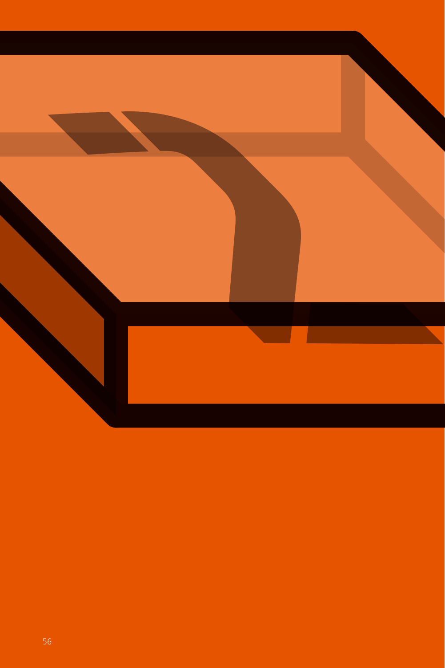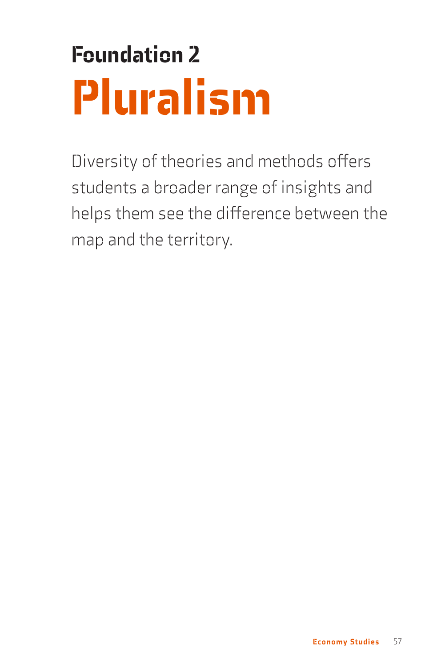# Foundation 2 Pluralism

Diversity of theories and methods offers students a broader range of insights and helps them see the difference between the map and the territory.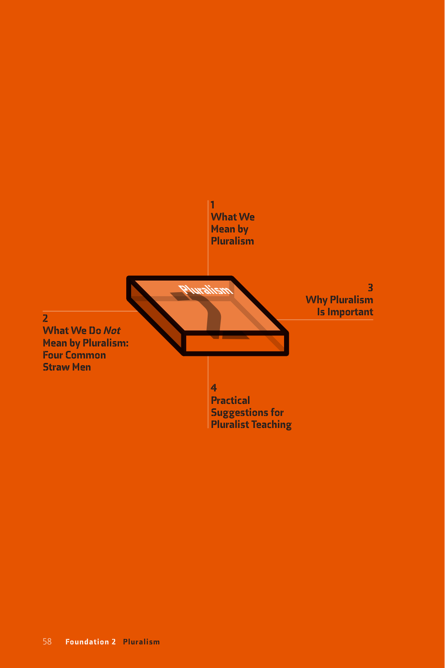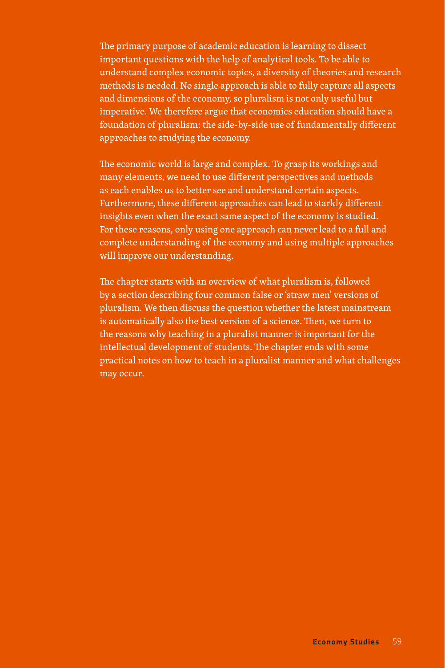The primary purpose of academic education is learning to dissect important questions with the help of analytical tools. To be able to understand complex economic topics, a diversity of theories and research methods is needed. No single approach is able to fully capture all aspects and dimensions of the economy, so pluralism is not only useful but imperative. We therefore argue that economics education should have a foundation of pluralism: the side-by-side use of fundamentally different approaches to studying the economy.

The economic world is large and complex. To grasp its workings and many elements, we need to use different perspectives and methods as each enables us to better see and understand certain aspects. Furthermore, these different approaches can lead to starkly different insights even when the exact same aspect of the economy is studied. For these reasons, only using one approach can never lead to a full and complete understanding of the economy and using multiple approaches will improve our understanding.

The chapter starts with an overview of what pluralism is, followed by a section describing four common false or 'straw men' versions of pluralism. We then discuss the question whether the latest mainstream is automatically also the best version of a science. Then, we turn to the reasons why teaching in a pluralist manner is important for the intellectual development of students. The chapter ends with some practical notes on how to teach in a pluralist manner and what challenges may occur.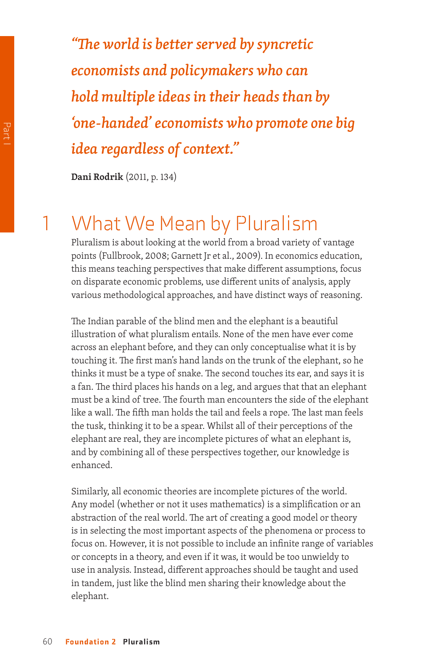*"The world is better served by syncretic economists and policymakers who can hold multiple ideas in their heads than by 'one-handed' economists who promote one big idea regardless of context."*

**Dani Rodrik** (2011, p. 134)

### 1 What We Mean by Pluralism

Pluralism is about looking at the world from a broad variety of vantage points (Fullbrook, 2008; Garnett Jr et al., 2009). In economics education, this means teaching perspectives that make different assumptions, focus on disparate economic problems, use different units of analysis, apply various methodological approaches, and have distinct ways of reasoning.

The Indian parable of the blind men and the elephant is a beautiful illustration of what pluralism entails. None of the men have ever come across an elephant before, and they can only conceptualise what it is by touching it. The first man's hand lands on the trunk of the elephant, so he thinks it must be a type of snake. The second touches its ear, and says it is a fan. The third places his hands on a leg, and argues that that an elephant must be a kind of tree. The fourth man encounters the side of the elephant like a wall. The fifth man holds the tail and feels a rope. The last man feels the tusk, thinking it to be a spear. Whilst all of their perceptions of the elephant are real, they are incomplete pictures of what an elephant is, and by combining all of these perspectives together, our knowledge is enhanced.

Similarly, all economic theories are incomplete pictures of the world. Any model (whether or not it uses mathematics) is a simplification or an abstraction of the real world. The art of creating a good model or theory is in selecting the most important aspects of the phenomena or process to focus on. However, it is not possible to include an infinite range of variables or concepts in a theory, and even if it was, it would be too unwieldy to use in analysis. Instead, different approaches should be taught and used in tandem, just like the blind men sharing their knowledge about the elephant.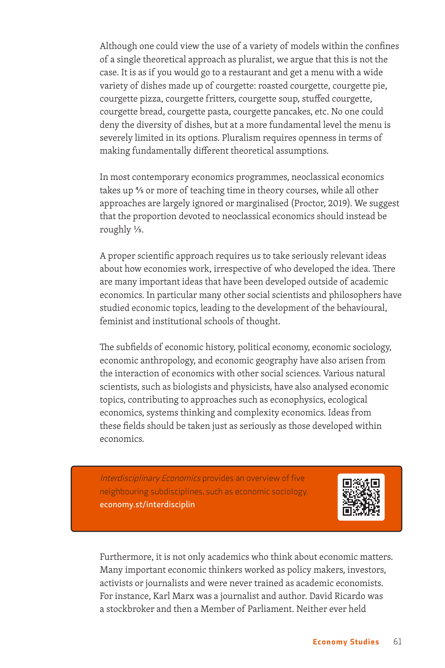Although one could view the use of a variety of models within the confines of a single theoretical approach as pluralist, we argue that this is not the case. It is as if you would go to a restaurant and get a menu with a wide variety of dishes made up of courgette: roasted courgette, courgette pie, courgette pizza, courgette fritters, courgette soup, stuffed courgette, courgette bread, courgette pasta, courgette pancakes, etc. No one could deny the diversity of dishes, but at a more fundamental level the menu is severely limited in its options. Pluralism requires openness in terms of making fundamentally different theoretical assumptions.

In most contemporary economics programmes, neoclassical economics takes up ⅘ or more of teaching time in theory courses, while all other approaches are largely ignored or marginalised (Proctor, 2019). We suggest that the proportion devoted to neoclassical economics should instead be roughly  $\frac{1}{s}$ .

A proper scientific approach requires us to take seriously relevant ideas about how economies work, irrespective of who developed the idea. There are many important ideas that have been developed outside of academic economics. In particular many other social scientists and philosophers have studied economic topics, leading to the development of the behavioural, feminist and institutional schools of thought.

The subfields of economic history, political economy, economic sociology, economic anthropology, and economic geography have also arisen from the interaction of economics with other social sciences. Various natural scientists, such as biologists and physicists, have also analysed economic topics, contributing to approaches such as econophysics, ecological economics, systems thinking and complexity economics. Ideas from these fields should be taken just as seriously as those developed within economics.

Interdisciplinary Economics provides an overview of five neighbouring subdisciplines, such as economic sociology. economy.st/interdisciplin



Furthermore, it is not only academics who think about economic matters. Many important economic thinkers worked as policy makers, investors, activists or journalists and were never trained as academic economists. For instance, Karl Marx was a journalist and author. David Ricardo was a stockbroker and then a Member of Parliament. Neither ever held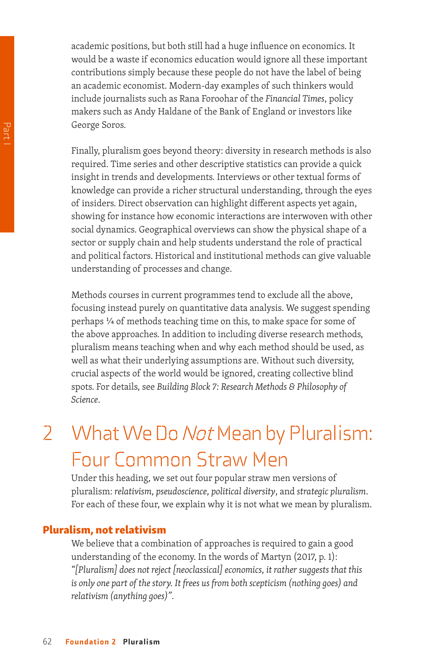academic positions, but both still had a huge influence on economics. It would be a waste if economics education would ignore all these important contributions simply because these people do not have the label of being an academic economist. Modern-day examples of such thinkers would include journalists such as Rana Foroohar of the *Financial Times*, policy makers such as Andy Haldane of the Bank of England or investors like George Soros.

Finally, pluralism goes beyond theory: diversity in research methods is also required. Time series and other descriptive statistics can provide a quick insight in trends and developments. Interviews or other textual forms of knowledge can provide a richer structural understanding, through the eyes of insiders. Direct observation can highlight different aspects yet again, showing for instance how economic interactions are interwoven with other social dynamics. Geographical overviews can show the physical shape of a sector or supply chain and help students understand the role of practical and political factors. Historical and institutional methods can give valuable understanding of processes and change.

Methods courses in current programmes tend to exclude all the above, focusing instead purely on quantitative data analysis. We suggest spending perhaps ¼ of methods teaching time on this, to make space for some of the above approaches. In addition to including diverse research methods, pluralism means teaching when and why each method should be used, as well as what their underlying assumptions are. Without such diversity, crucial aspects of the world would be ignored, creating collective blind spots. For details, see *Building Block 7: Research Methods & Philosophy of Science*.

## 2 What We Do Not Mean by Pluralism: Four Common Straw Men

Under this heading, we set out four popular straw men versions of pluralism: *relativism*, *pseudoscience*, *political diversity*, and *strategic pluralism*. For each of these four, we explain why it is not what we mean by pluralism.

#### Pluralism, not relativism

We believe that a combination of approaches is required to gain a good understanding of the economy. In the words of Martyn (2017, p. 1): *"[Pluralism] does not reject [neoclassical] economics, it rather suggests that this is only one part of the story. It frees us from both scepticism (nothing goes) and relativism (anything goes)"*.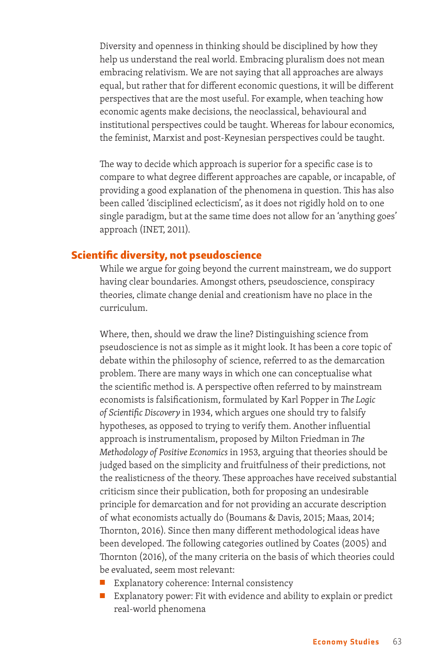Diversity and openness in thinking should be disciplined by how they help us understand the real world. Embracing pluralism does not mean embracing relativism. We are not saying that all approaches are always equal, but rather that for different economic questions, it will be different perspectives that are the most useful. For example, when teaching how economic agents make decisions, the neoclassical, behavioural and institutional perspectives could be taught. Whereas for labour economics, the feminist, Marxist and post-Keynesian perspectives could be taught.

The way to decide which approach is superior for a specific case is to compare to what degree different approaches are capable, or incapable, of providing a good explanation of the phenomena in question. This has also been called 'disciplined eclecticism', as it does not rigidly hold on to one single paradigm, but at the same time does not allow for an 'anything goes' approach (INET, 2011).

#### Scientific diversity, not pseudoscience

While we argue for going beyond the current mainstream, we do support having clear boundaries. Amongst others, pseudoscience, conspiracy theories, climate change denial and creationism have no place in the curriculum.

Where, then, should we draw the line? Distinguishing science from pseudoscience is not as simple as it might look. It has been a core topic of debate within the philosophy of science, referred to as the demarcation problem. There are many ways in which one can conceptualise what the scientific method is. A perspective often referred to by mainstream economists is falsificationism, formulated by Karl Popper in *The Logic of Scientific Discovery* in 1934, which argues one should try to falsify hypotheses, as opposed to trying to verify them. Another influential approach is instrumentalism, proposed by Milton Friedman in *The Methodology of Positive Economics* in 1953, arguing that theories should be judged based on the simplicity and fruitfulness of their predictions, not the realisticness of the theory. These approaches have received substantial criticism since their publication, both for proposing an undesirable principle for demarcation and for not providing an accurate description of what economists actually do (Boumans & Davis, 2015; Maas, 2014; Thornton, 2016). Since then many different methodological ideas have been developed. The following categories outlined by Coates (2005) and Thornton (2016), of the many criteria on the basis of which theories could be evaluated, seem most relevant:

- Explanatory coherence: Internal consistency
- Explanatory power: Fit with evidence and ability to explain or predict real-world phenomena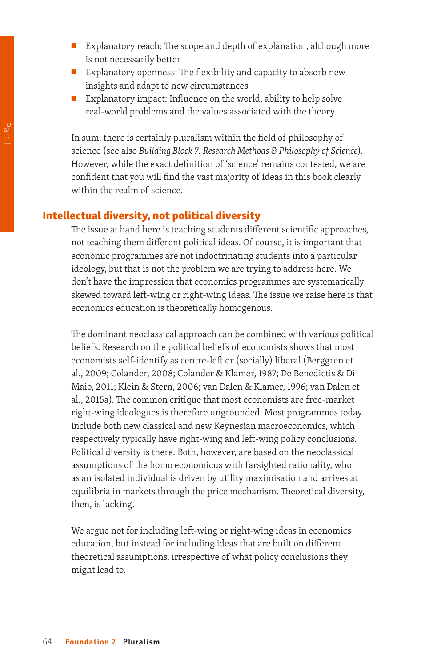- Explanatory reach: The scope and depth of explanation, although more is not necessarily better
- Explanatory openness: The flexibility and capacity to absorb new insights and adapt to new circumstances
- Explanatory impact: Influence on the world, ability to help solve real-world problems and the values associated with the theory.

In sum, there is certainly pluralism within the field of philosophy of science (see also *Building Block 7: Research Methods & Philosophy of Science*). However, while the exact definition of 'science' remains contested, we are confident that you will find the vast majority of ideas in this book clearly within the realm of science.

#### Intellectual diversity, not political diversity

The issue at hand here is teaching students different scientific approaches, not teaching them different political ideas. Of course, it is important that economic programmes are not indoctrinating students into a particular ideology, but that is not the problem we are trying to address here. We don't have the impression that economics programmes are systematically skewed toward left-wing or right-wing ideas. The issue we raise here is that economics education is theoretically homogenous.

The dominant neoclassical approach can be combined with various political beliefs. Research on the political beliefs of economists shows that most economists self-identify as centre-left or (socially) liberal (Berggren et al., 2009; Colander, 2008; Colander & Klamer, 1987; De Benedictis & Di Maio, 2011; Klein & Stern, 2006; van Dalen & Klamer, 1996; van Dalen et al., 2015a). The common critique that most economists are free-market right-wing ideologues is therefore ungrounded. Most programmes today include both new classical and new Keynesian macroeconomics, which respectively typically have right-wing and left-wing policy conclusions. Political diversity is there. Both, however, are based on the neoclassical assumptions of the homo economicus with farsighted rationality, who as an isolated individual is driven by utility maximisation and arrives at equilibria in markets through the price mechanism. Theoretical diversity, then, is lacking.

We argue not for including left-wing or right-wing ideas in economics education, but instead for including ideas that are built on different theoretical assumptions, irrespective of what policy conclusions they might lead to.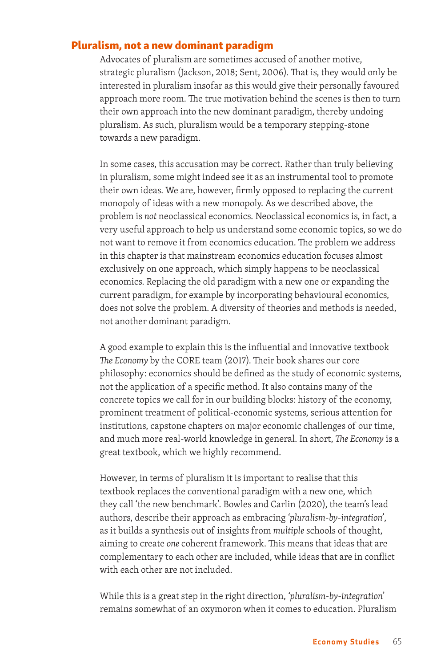#### Pluralism, not a new dominant paradigm

Advocates of pluralism are sometimes accused of another motive, strategic pluralism (Jackson, 2018; Sent, 2006). That is, they would only be interested in pluralism insofar as this would give their personally favoured approach more room. The true motivation behind the scenes is then to turn their own approach into the new dominant paradigm, thereby undoing pluralism. As such, pluralism would be a temporary stepping-stone towards a new paradigm.

In some cases, this accusation may be correct. Rather than truly believing in pluralism, some might indeed see it as an instrumental tool to promote their own ideas. We are, however, firmly opposed to replacing the current monopoly of ideas with a new monopoly. As we described above, the problem is *not* neoclassical economics. Neoclassical economics is, in fact, a very useful approach to help us understand some economic topics, so we do not want to remove it from economics education. The problem we address in this chapter is that mainstream economics education focuses almost exclusively on one approach, which simply happens to be neoclassical economics. Replacing the old paradigm with a new one or expanding the current paradigm, for example by incorporating behavioural economics, does not solve the problem. A diversity of theories and methods is needed, not another dominant paradigm.

A good example to explain this is the influential and innovative textbook *The Economy* by the CORE team (2017). Their book shares our core philosophy: economics should be defined as the study of economic systems, not the application of a specific method. It also contains many of the concrete topics we call for in our building blocks: history of the economy, prominent treatment of political-economic systems, serious attention for institutions, capstone chapters on major economic challenges of our time, and much more real-world knowledge in general. In short, *The Economy* is a great textbook, which we highly recommend.

However, in terms of pluralism it is important to realise that this textbook replaces the conventional paradigm with a new one, which they call 'the new benchmark'. Bowles and Carlin (2020), the team's lead authors, describe their approach as embracing *'pluralism-by-integration'*, as it builds a synthesis out of insights from *multiple* schools of thought, aiming to create *one* coherent framework. This means that ideas that are complementary to each other are included, while ideas that are in conflict with each other are not included.

While this is a great step in the right direction, *'pluralism-by-integration'*  remains somewhat of an oxymoron when it comes to education. Pluralism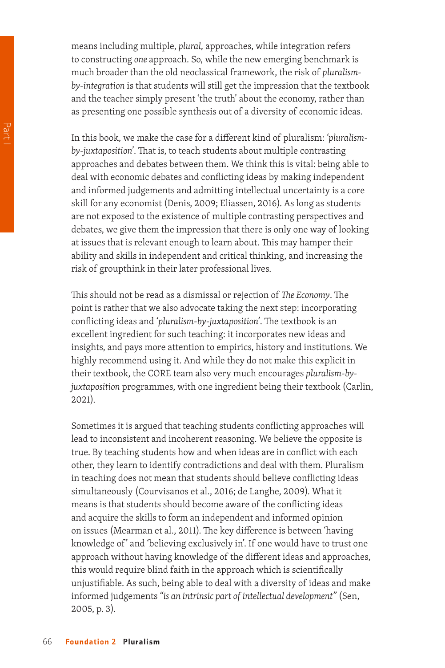means including multiple, *plural,* approaches, while integration refers to constructing *one* approach. So, while the new emerging benchmark is much broader than the old neoclassical framework, the risk of *pluralismby-integration* is that students will still get the impression that the textbook and the teacher simply present 'the truth' about the economy, rather than as presenting one possible synthesis out of a diversity of economic ideas.

In this book, we make the case for a different kind of pluralism: *'pluralismby-juxtaposition'*. That is, to teach students about multiple contrasting approaches and debates between them. We think this is vital: being able to deal with economic debates and conflicting ideas by making independent and informed judgements and admitting intellectual uncertainty is a core skill for any economist (Denis, 2009; Eliassen, 2016). As long as students are not exposed to the existence of multiple contrasting perspectives and debates, we give them the impression that there is only one way of looking at issues that is relevant enough to learn about. This may hamper their ability and skills in independent and critical thinking, and increasing the risk of groupthink in their later professional lives.

This should not be read as a dismissal or rejection of *The Economy*. The point is rather that we also advocate taking the next step: incorporating conflicting ideas and *'pluralism-by-juxtaposition'*. The textbook is an excellent ingredient for such teaching: it incorporates new ideas and insights, and pays more attention to empirics, history and institutions. We highly recommend using it. And while they do not make this explicit in their textbook, the CORE team also very much encourages *pluralism-byjuxtaposition* programmes, with one ingredient being their textbook (Carlin, 2021).

Sometimes it is argued that teaching students conflicting approaches will lead to inconsistent and incoherent reasoning. We believe the opposite is true. By teaching students how and when ideas are in conflict with each other, they learn to identify contradictions and deal with them. Pluralism in teaching does not mean that students should believe conflicting ideas simultaneously (Courvisanos et al., 2016; de Langhe, 2009). What it means is that students should become aware of the conflicting ideas and acquire the skills to form an independent and informed opinion on issues (Mearman et al., 2011). The key difference is between 'having knowledge of ' and 'believing exclusively in'. If one would have to trust one approach without having knowledge of the different ideas and approaches, this would require blind faith in the approach which is scientifically unjustifiable. As such, being able to deal with a diversity of ideas and make informed judgements *"is an intrinsic part of intellectual development"* (Sen, 2005, p. 3).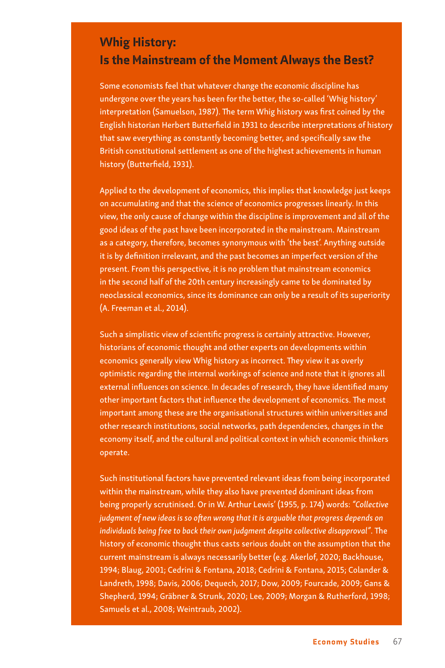### Whig History: Is the Mainstream of the Moment Always the Best?

Some economists feel that whatever change the economic discipline has undergone over the years has been for the better, the so-called 'Whig history' interpretation (Samuelson, 1987). The term Whig history was first coined by the English historian Herbert Butterfield in 1931 to describe interpretations of history that saw everything as constantly becoming better, and specifically saw the British constitutional settlement as one of the highest achievements in human history (Butterfield, 1931).

Applied to the development of economics, this implies that knowledge just keeps on accumulating and that the science of economics progresses linearly. In this view, the only cause of change within the discipline is improvement and all of the good ideas of the past have been incorporated in the mainstream. Mainstream as a category, therefore, becomes synonymous with 'the best'. Anything outside it is by definition irrelevant, and the past becomes an imperfect version of the present. From this perspective, it is no problem that mainstream economics in the second half of the 20th century increasingly came to be dominated by neoclassical economics, since its dominance can only be a result of its superiority (A. Freeman et al., 2014).

Such a simplistic view of scientific progress is certainly attractive. However, historians of economic thought and other experts on developments within economics generally view Whig history as incorrect. They view it as overly optimistic regarding the internal workings of science and note that it ignores all external influences on science. In decades of research, they have identified many other important factors that influence the development of economics. The most important among these are the organisational structures within universities and other research institutions, social networks, path dependencies, changes in the economy itself, and the cultural and political context in which economic thinkers operate.

Such institutional factors have prevented relevant ideas from being incorporated within the mainstream, while they also have prevented dominant ideas from being properly scrutinised. Or in W. Arthur Lewis' (1955, p. 174) words: *"Collective judgment of new ideas is so often wrong that it is arguable that progress depends on individuals being free to back their own judgment despite collective disapproval"*. The history of economic thought thus casts serious doubt on the assumption that the current mainstream is always necessarily better (e.g. Akerlof, 2020; Backhouse, 1994; Blaug, 2001; Cedrini & Fontana, 2018; Cedrini & Fontana, 2015; Colander & Landreth, 1998; Davis, 2006; Dequech, 2017; Dow, 2009; Fourcade, 2009; Gans & Shepherd, 1994; Gräbner & Strunk, 2020; Lee, 2009; Morgan & Rutherford, 1998; Samuels et al., 2008; Weintraub, 2002).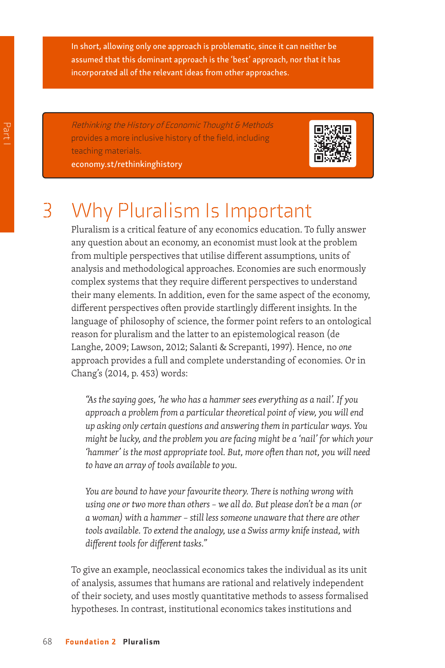In short, allowing only one approach is problematic, since it can neither be assumed that this dominant approach is the 'best' approach, nor that it has incorporated all of the relevant ideas from other approaches.

Rethinking the History of Economic Thought & Methods provides a more inclusive history of the field, including teaching materials.



economy.st/rethinkinghistory

### 3 Why Pluralism Is Important

Pluralism is a critical feature of any economics education. To fully answer any question about an economy, an economist must look at the problem from multiple perspectives that utilise different assumptions, units of analysis and methodological approaches. Economies are such enormously complex systems that they require different perspectives to understand their many elements. In addition, even for the same aspect of the economy, different perspectives often provide startlingly different insights. In the language of philosophy of science, the former point refers to an ontological reason for pluralism and the latter to an epistemological reason (de Langhe, 2009; Lawson, 2012; Salanti & Screpanti, 1997). Hence, no *one* approach provides a full and complete understanding of economies. Or in Chang's (2014, p. 453) words:

*"As the saying goes, 'he who has a hammer sees everything as a nail'. If you approach a problem from a particular theoretical point of view, you will end up asking only certain questions and answering them in particular ways. You might be lucky, and the problem you are facing might be a 'nail' for which your 'hammer' is the most appropriate tool. But, more often than not, you will need to have an array of tools available to you.*

*You are bound to have your favourite theory. There is nothing wrong with using one or two more than others – we all do. But please don't be a man (or a woman) with a hammer – still less someone unaware that there are other tools available. To extend the analogy, use a Swiss army knife instead, with different tools for different tasks."* 

To give an example, neoclassical economics takes the individual as its unit of analysis, assumes that humans are rational and relatively independent of their society, and uses mostly quantitative methods to assess formalised hypotheses. In contrast, institutional economics takes institutions and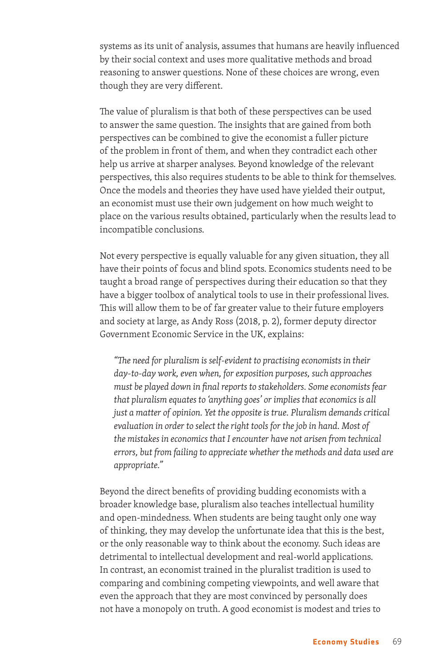systems as its unit of analysis, assumes that humans are heavily influenced by their social context and uses more qualitative methods and broad reasoning to answer questions. None of these choices are wrong, even though they are very different.

The value of pluralism is that both of these perspectives can be used to answer the same question. The insights that are gained from both perspectives can be combined to give the economist a fuller picture of the problem in front of them, and when they contradict each other help us arrive at sharper analyses. Beyond knowledge of the relevant perspectives, this also requires students to be able to think for themselves. Once the models and theories they have used have yielded their output, an economist must use their own judgement on how much weight to place on the various results obtained, particularly when the results lead to incompatible conclusions.

Not every perspective is equally valuable for any given situation, they all have their points of focus and blind spots. Economics students need to be taught a broad range of perspectives during their education so that they have a bigger toolbox of analytical tools to use in their professional lives. This will allow them to be of far greater value to their future employers and society at large, as Andy Ross (2018, p. 2), former deputy director Government Economic Service in the UK, explains:

*"The need for pluralism is self-evident to practising economists in their day-to-day work, even when, for exposition purposes, such approaches must be played down in final reports to stakeholders. Some economists fear that pluralism equates to 'anything goes' or implies that economics is all just a matter of opinion. Yet the opposite is true. Pluralism demands critical evaluation in order to select the right tools for the job in hand. Most of the mistakes in economics that I encounter have not arisen from technical errors, but from failing to appreciate whether the methods and data used are appropriate."*

Beyond the direct benefits of providing budding economists with a broader knowledge base, pluralism also teaches intellectual humility and open-mindedness. When students are being taught only one way of thinking, they may develop the unfortunate idea that this is the best, or the only reasonable way to think about the economy. Such ideas are detrimental to intellectual development and real-world applications. In contrast, an economist trained in the pluralist tradition is used to comparing and combining competing viewpoints, and well aware that even the approach that they are most convinced by personally does not have a monopoly on truth. A good economist is modest and tries to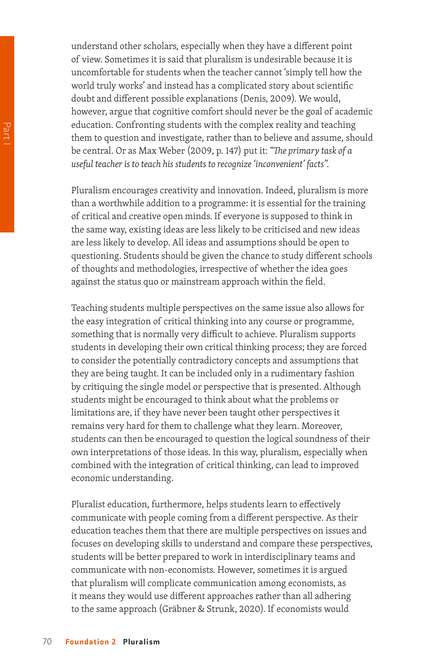understand other scholars, especially when they have a different point of view. Sometimes it is said that pluralism is undesirable because it is uncomfortable for students when the teacher cannot 'simply tell how the world truly works' and instead has a complicated story about scientific doubt and different possible explanations (Denis, 2009). We would, however, argue that cognitive comfort should never be the goal of academic education. Confronting students with the complex reality and teaching them to question and investigate, rather than to believe and assume, should be central. Or as Max Weber (2009, p. 147) put it: *"The primary task of a useful teacher is to teach his students to recognize 'inconvenient' facts".*

Pluralism encourages creativity and innovation. Indeed, pluralism is more than a worthwhile addition to a programme: it is essential for the training of critical and creative open minds. If everyone is supposed to think in the same way, existing ideas are less likely to be criticised and new ideas are less likely to develop. All ideas and assumptions should be open to questioning. Students should be given the chance to study different schools of thoughts and methodologies, irrespective of whether the idea goes against the status quo or mainstream approach within the field.

Teaching students multiple perspectives on the same issue also allows for the easy integration of critical thinking into any course or programme, something that is normally very difficult to achieve. Pluralism supports students in developing their own critical thinking process; they are forced to consider the potentially contradictory concepts and assumptions that they are being taught. It can be included only in a rudimentary fashion by critiquing the single model or perspective that is presented. Although students might be encouraged to think about what the problems or limitations are, if they have never been taught other perspectives it remains very hard for them to challenge what they learn. Moreover, students can then be encouraged to question the logical soundness of their own interpretations of those ideas. In this way, pluralism, especially when combined with the integration of critical thinking, can lead to improved economic understanding.

Pluralist education, furthermore, helps students learn to effectively communicate with people coming from a different perspective. As their education teaches them that there are multiple perspectives on issues and focuses on developing skills to understand and compare these perspectives, students will be better prepared to work in interdisciplinary teams and communicate with non-economists. However, sometimes it is argued that pluralism will complicate communication among economists, as it means they would use different approaches rather than all adhering to the same approach (Gräbner & Strunk, 2020). If economists would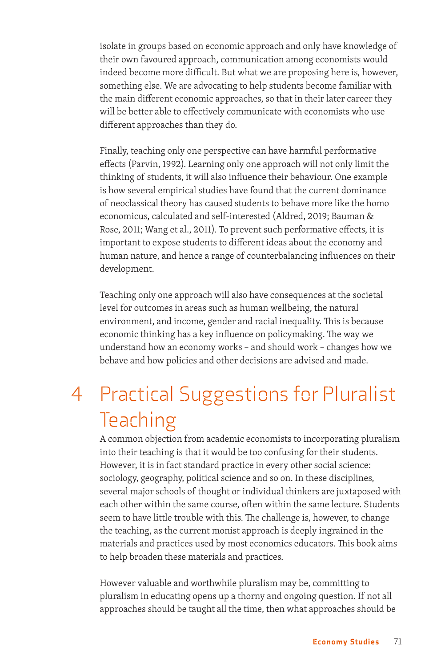isolate in groups based on economic approach and only have knowledge of their own favoured approach, communication among economists would indeed become more difficult. But what we are proposing here is, however, something else. We are advocating to help students become familiar with the main different economic approaches, so that in their later career they will be better able to effectively communicate with economists who use different approaches than they do.

Finally, teaching only one perspective can have harmful performative effects (Parvin, 1992). Learning only one approach will not only limit the thinking of students, it will also influence their behaviour. One example is how several empirical studies have found that the current dominance of neoclassical theory has caused students to behave more like the homo economicus, calculated and self-interested (Aldred, 2019; Bauman & Rose, 2011; Wang et al., 2011). To prevent such performative effects, it is important to expose students to different ideas about the economy and human nature, and hence a range of counterbalancing influences on their development.

Teaching only one approach will also have consequences at the societal level for outcomes in areas such as human wellbeing, the natural environment, and income, gender and racial inequality. This is because economic thinking has a key influence on policymaking. The way we understand how an economy works – and should work – changes how we behave and how policies and other decisions are advised and made.

### 4 Practical Suggestions for Pluralist **Teaching**

A common objection from academic economists to incorporating pluralism into their teaching is that it would be too confusing for their students. However, it is in fact standard practice in every other social science: sociology, geography, political science and so on. In these disciplines, several major schools of thought or individual thinkers are juxtaposed with each other within the same course, often within the same lecture. Students seem to have little trouble with this. The challenge is, however, to change the teaching, as the current monist approach is deeply ingrained in the materials and practices used by most economics educators. This book aims to help broaden these materials and practices.

However valuable and worthwhile pluralism may be, committing to pluralism in educating opens up a thorny and ongoing question. If not all approaches should be taught all the time, then what approaches should be